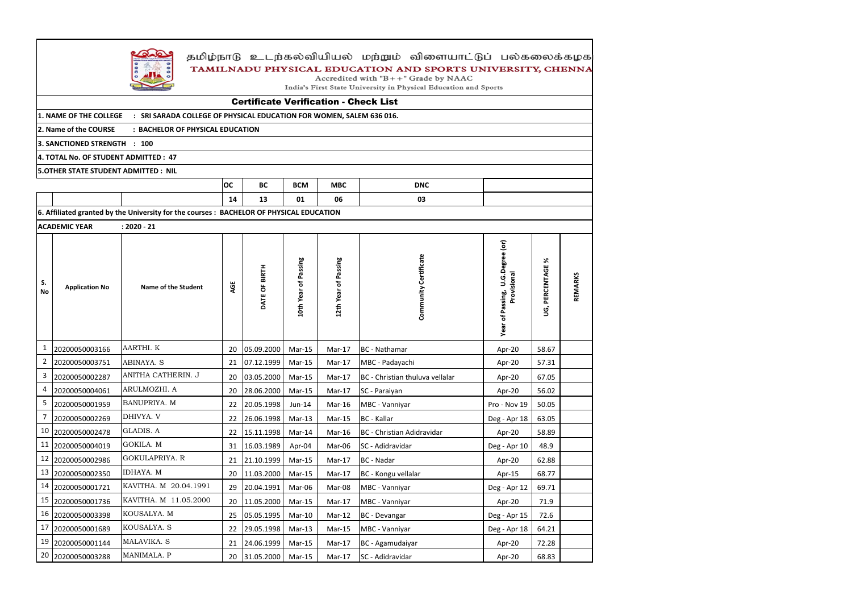

# தமிழ்நாடு உடற்கல்வியியல் மற்றும் விளையாட்டுப் பல்கலைக்கழக TAMILNADU PHYSICAL EDUCATION AND SPORTS UNIVERSITY, CHENNA

Accredited with  $B++$ " Grade by NAAC

India's First State University in Physical Education and Sports

|                                     |                       |                                                                                          | <b>OC</b>  | <b>BC</b>     | <b>BCM</b>           | <b>MBC</b>           | <b>DNC</b>                      |                                                    |                  |         |
|-------------------------------------|-----------------------|------------------------------------------------------------------------------------------|------------|---------------|----------------------|----------------------|---------------------------------|----------------------------------------------------|------------------|---------|
|                                     |                       | 14                                                                                       | 13         | 01            | 06                   | 03                   |                                 |                                                    |                  |         |
|                                     |                       | 6. Affiliated granted by the University for the courses : BACHELOR OF PHYSICAL EDUCATION |            |               |                      |                      |                                 |                                                    |                  |         |
|                                     | <b>ACADEMIC YEAR</b>  | $: 2020 - 21$                                                                            |            |               |                      |                      |                                 |                                                    |                  |         |
| S.<br>No                            | <b>Application No</b> | Name of the Student                                                                      | AGE        | DATE OF BIRTH | 10th Year of Passing | 12th Year of Passing | Community Certificate           | U.G.Degree (or)<br>Provisional<br>Year of Passing, | UG, PERCENTAGE % | REMARKS |
| $\mathbf{1}$                        | 20200050003166        | AARTHI. K                                                                                | 20         | 05.09.2000    | Mar-15               | Mar-17               | BC - Nathamar                   | Apr-20                                             | 58.67            |         |
| $\overline{2}$                      | 20200050003751        | ABINAYA. S                                                                               | 21         | 07.12.1999    | Mar-15               | Mar-17               | MBC - Padayachi                 | Apr-20                                             | 57.31            |         |
| 3                                   | 20200050002287        | ANITHA CATHERIN. J                                                                       | 20         | 03.05.2000    | Mar-15               | Mar-17               | BC - Christian thuluva vellalar | Apr-20                                             | 67.05            |         |
| 4                                   | 20200050004061        | ARULMOZHI. A                                                                             | 20         | 28.06.2000    | Mar-15               | Mar-17               | SC - Paraiyan                   | Apr-20                                             | 56.02            |         |
| 5                                   | 20200050001959        | BANUPRIYA. M                                                                             | 22         | 20.05.1998    | Jun-14               | Mar-16               | MBC - Vanniyar                  | Pro - Nov 19                                       | 50.05            |         |
| 7                                   | 20200050002269        | DHIVYA. V                                                                                | 22         | 26.06.1998    | Mar-13               | Mar-15               | <b>BC</b> - Kallar              | Deg - Apr 18                                       | 63.05            |         |
| 10                                  | 20200050002478        | <b>GLADIS. A</b>                                                                         | 22         | 15.11.1998    | Mar-14               | Mar-16               | BC - Christian Adidravidar      | Apr-20                                             | 58.89            |         |
| 11                                  | 20200050004019        | GOKILA. M                                                                                | 31         | 16.03.1989    | Apr-04               | Mar-06               | SC - Adidravidar                | Deg - Apr 10                                       | 48.9             |         |
| 12                                  | 20200050002986        | <b>GOKULAPRIYA. R</b>                                                                    | 21         | 21.10.1999    | Mar-15               | Mar-17               | <b>BC</b> - Nadar               | Apr-20                                             | 62.88            |         |
| 13                                  | 20200050002350        | IDHAYA. M                                                                                | 20         | 11.03.2000    | $Mar-15$             | Mar-17               | BC - Kongu vellalar             | Apr-15                                             | 68.77            |         |
| 14                                  | 20200050001721        | KAVITHA. M 20.04.1991                                                                    | 29         | 20.04.1991    | Mar-06               | Mar-08               | MBC - Vanniyar                  | Deg - Apr 12                                       | 69.71            |         |
| 15                                  | 20200050001736        | KAVITHA. M 11.05.2000                                                                    | 20         | 11.05.2000    | Mar-15               | $Mar-17$             | MBC - Vanniyar                  | Apr-20                                             | 71.9             |         |
| 16                                  | 20200050003398        | KOUSALYA. M                                                                              | 25         | 05.05.1995    | Mar-10               | Mar-12               | BC - Devangar                   | Deg - Apr 15                                       | 72.6             |         |
| 17                                  | 20200050001689        | KOUSALYA. S                                                                              | 22         | 29.05.1998    | $Mar-13$             | Mar-15               | MBC - Vanniyar                  | Deg - Apr 18                                       | 64.21            |         |
| 19                                  | 20200050001144        | MALAVIKA. S                                                                              | 21         | 24.06.1999    | Mar-15               | Mar-17               | BC - Agamudaiyar                | Apr-20                                             | 72.28            |         |
| MANIMALA. P<br>20<br>20200050003288 |                       | 20                                                                                       | 31.05.2000 | Mar-15        | Mar-17               | SC - Adidravidar     | Apr-20                          | 68.83                                              |                  |         |

**5.OTHER STATE STUDENT ADMITTED : NIL**

### Certificate Verification - Check List

**1. NAME OF THE COLLEGE : SRI SARADA COLLEGE OF PHYSICAL EDUCATION FOR WOMEN, SALEM 636 016.** 

**2. Name of the COURSE : BACHELOR OF PHYSICAL EDUCATION**

**3. SANCTIONED STRENGTH : 100** 

**4. TOTAL No. OF STUDENT ADMITTED : 47**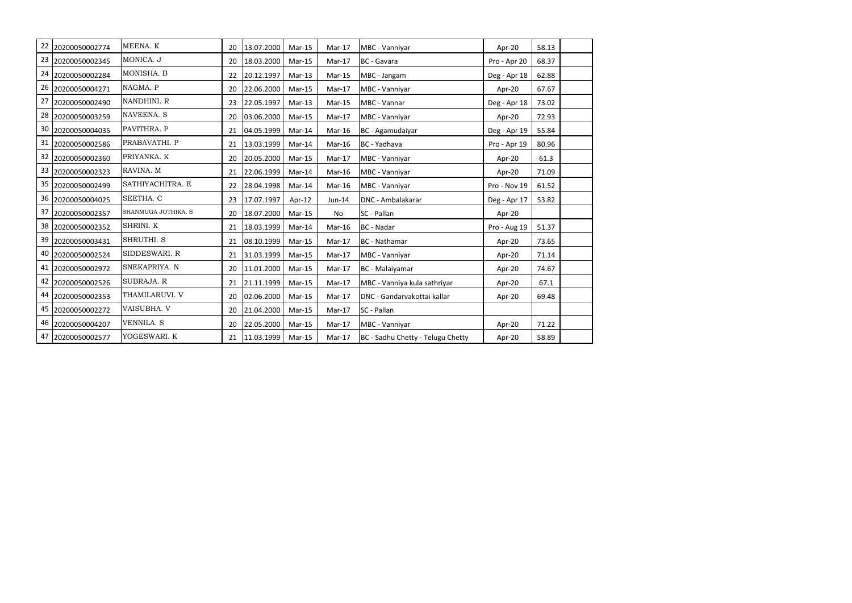| 22 | 20200050002774    | MEENA. K            | 20 | 13.07.2000 | $Mar-15$ | Mar-17   | MBC - Vanniyar                    | Apr-20       | 58.13 |  |
|----|-------------------|---------------------|----|------------|----------|----------|-----------------------------------|--------------|-------|--|
|    | 23 20200050002345 | MONICA. J           | 20 | 18.03.2000 | $Mar-15$ | Mar-17   | <b>BC</b> - Gavara                | Pro - Apr 20 | 68.37 |  |
| 24 | 20200050002284    | MONISHA. B          | 22 | 20.12.1997 | Mar-13   | Mar-15   | MBC - Jangam                      | Deg - Apr 18 | 62.88 |  |
| 26 | 20200050004271    | NAGMA. P            | 20 | 22.06.2000 | $Mar-15$ | Mar-17   | MBC - Vanniyar                    | Apr-20       | 67.67 |  |
| 27 | 20200050002490    | NANDHINI. R         | 23 | 22.05.1997 | $Mar-13$ | $Mar-15$ | MBC - Vannar                      | Deg - Apr 18 | 73.02 |  |
|    | 28 20200050003259 | NAVEENA. S          | 20 | 03.06.2000 | Mar-15   | Mar-17   | MBC - Vanniyar                    | Apr-20       | 72.93 |  |
| 30 | 20200050004035    | PAVITHRA. P         | 21 | 04.05.1999 | Mar-14   | Mar-16   | BC - Agamudaiyar                  | Deg - Apr 19 | 55.84 |  |
| 31 | 20200050002586    | PRABAVATHI. P       | 21 | 13.03.1999 | Mar-14   | Mar-16   | BC - Yadhava                      | Pro - Apr 19 | 80.96 |  |
| 32 | 20200050002360    | PRIYANKA. K         | 20 | 20.05.2000 | $Mar-15$ | Mar-17   | MBC - Vanniyar                    | Apr-20       | 61.3  |  |
| 33 | 20200050002323    | RAVINA. M           | 21 | 22.06.1999 | Mar-14   | Mar-16   | MBC - Vanniyar                    | Apr-20       | 71.09 |  |
| 35 | 20200050002499    | SATHIYACHITRA. E    | 22 | 28.04.1998 | Mar-14   | $Mar-16$ | MBC - Vanniyar                    | Pro - Nov 19 | 61.52 |  |
|    | 36 20200050004025 | SEETHA. C           | 23 | 17.07.1997 | Apr-12   | $Jun-14$ | DNC - Ambalakarar                 | Deg - Apr 17 | 53.82 |  |
| 37 | 20200050002357    | SHANMUGA JOTHIKA. S | 20 | 18.07.2000 | $Mar-15$ | No       | SC - Pallan                       | Apr-20       |       |  |
|    | 38 20200050002352 | SHRINI. K           | 21 | 18.03.1999 | Mar-14   | Mar-16   | <b>BC</b> - Nadar                 | Pro - Aug 19 | 51.37 |  |
| 39 | 20200050003431    | SHRUTHI. S          | 21 | 08.10.1999 | $Mar-15$ | Mar-17   | BC - Nathamar                     | Apr-20       | 73.65 |  |
| 40 | 20200050002524    | SIDDESWARI. R       | 21 | 31.03.1999 | $Mar-15$ | Mar-17   | MBC - Vanniyar                    | Apr-20       | 71.14 |  |
| 41 | 20200050002972    | SNEKAPRIYA. N       | 20 | 11.01.2000 | $Mar-15$ | Mar-17   | BC - Malaiyamar                   | Apr-20       | 74.67 |  |
|    | 42 20200050002526 | SUBRAJA. R          | 21 | 21.11.1999 | $Mar-15$ | Mar-17   | MBC - Vanniya kula sathriyar      | Apr-20       | 67.1  |  |
| 44 | 20200050002353    | THAMILARUVI. V      | 20 | 02.06.2000 | Mar-15   | Mar-17   | DNC - Gandarvakottai kallar       | Apr-20       | 69.48 |  |
| 45 | 20200050002272    | VAISUBHA. V         | 20 | 21.04.2000 | $Mar-15$ | Mar-17   | SC - Pallan                       |              |       |  |
|    | 46 20200050004207 | <b>VENNILA. S</b>   | 20 | 22.05.2000 | $Mar-15$ | Mar-17   | MBC - Vanniyar                    | Apr-20       | 71.22 |  |
|    | 47 20200050002577 | YOGESWARI. K        | 21 | 11.03.1999 | Mar-15   | $Mar-17$ | BC - Sadhu Chetty - Telugu Chetty | Apr-20       | 58.89 |  |